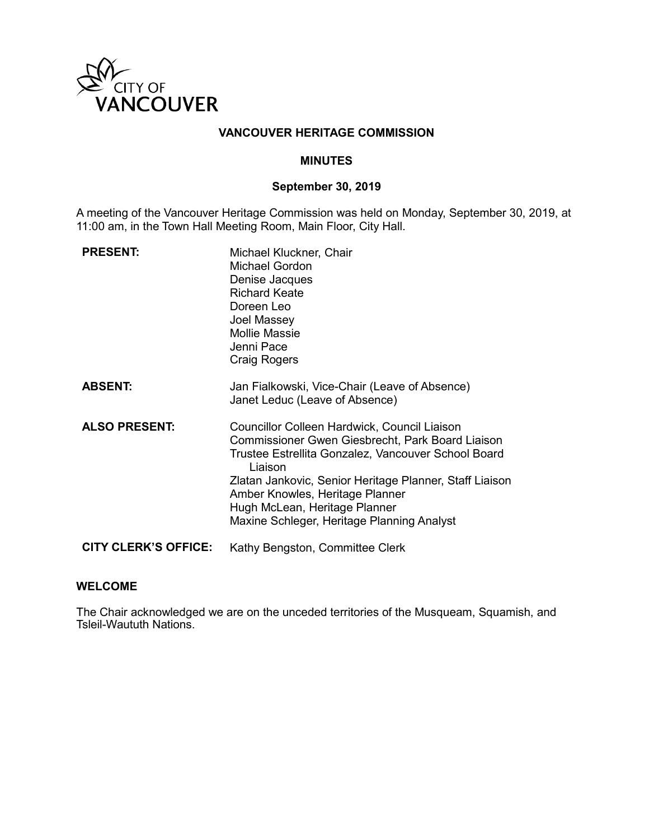

#### **VANCOUVER HERITAGE COMMISSION**

#### **MINUTES**

# **September 30, 2019**

A meeting of the Vancouver Heritage Commission was held on Monday, September 30, 2019, at 11:00 am, in the Town Hall Meeting Room, Main Floor, City Hall.

| <b>PRESENT:</b>             | Michael Kluckner, Chair<br><b>Michael Gordon</b><br>Denise Jacques<br><b>Richard Keate</b><br>Doreen Leo<br>Joel Massey<br><b>Mollie Massie</b><br>Jenni Pace<br><b>Craig Rogers</b>                                                                                                                                                            |
|-----------------------------|-------------------------------------------------------------------------------------------------------------------------------------------------------------------------------------------------------------------------------------------------------------------------------------------------------------------------------------------------|
| <b>ABSENT:</b>              | Jan Fialkowski, Vice-Chair (Leave of Absence)<br>Janet Leduc (Leave of Absence)                                                                                                                                                                                                                                                                 |
| <b>ALSO PRESENT:</b>        | Councillor Colleen Hardwick, Council Liaison<br>Commissioner Gwen Giesbrecht, Park Board Liaison<br>Trustee Estrellita Gonzalez, Vancouver School Board<br>Liaison<br>Zlatan Jankovic, Senior Heritage Planner, Staff Liaison<br>Amber Knowles, Heritage Planner<br>Hugh McLean, Heritage Planner<br>Maxine Schleger, Heritage Planning Analyst |
| <b>CITY CLERK'S OFFICE:</b> | Kathy Bengston, Committee Clerk                                                                                                                                                                                                                                                                                                                 |

#### **WELCOME**

The Chair acknowledged we are on the unceded territories of the Musqueam, Squamish, and Tsleil-Waututh Nations.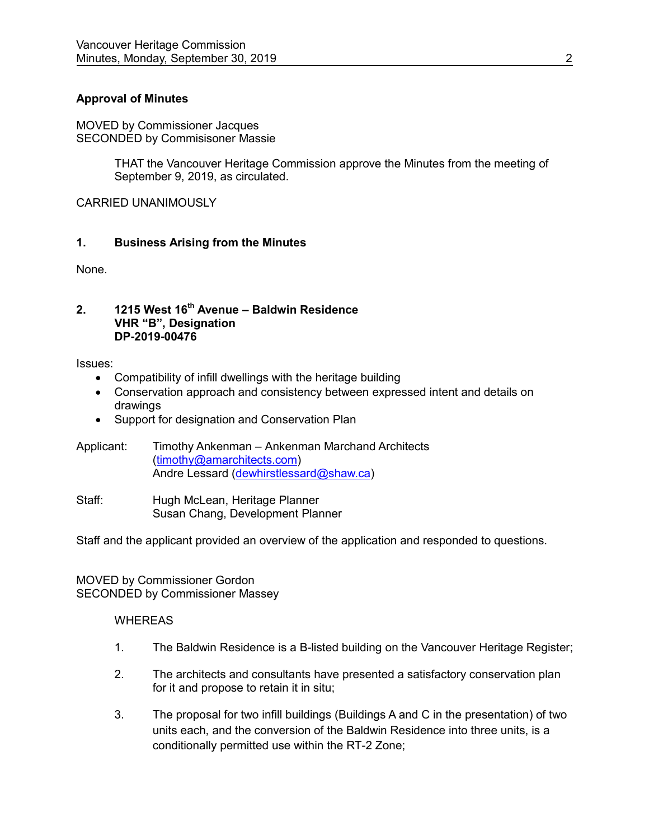# **Approval of Minutes**

MOVED by Commissioner Jacques SECONDED by Commisisoner Massie

> THAT the Vancouver Heritage Commission approve the Minutes from the meeting of September 9, 2019, as circulated.

CARRIED UNANIMOUSLY

#### **1. Business Arising from the Minutes**

None.

#### **2. 1215 West 16th Avenue – Baldwin Residence VHR "B", Designation DP-2019-00476**

Issues:

- Compatibility of infill dwellings with the heritage building
- Conservation approach and consistency between expressed intent and details on drawings
- Support for designation and Conservation Plan
- Applicant: Timothy Ankenman Ankenman Marchand Architects [\(timothy@amarchitects.com\)](mailto:timothy@amarchitects.com) Andre Lessard [\(dewhirstlessard@shaw.ca\)](mailto:dewhirstlessard@shaw.ca)
- Staff: Hugh McLean, Heritage Planner Susan Chang, Development Planner

Staff and the applicant provided an overview of the application and responded to questions.

MOVED by Commissioner Gordon SECONDED by Commissioner Massey

#### WHEREAS

- 1. The Baldwin Residence is a B-listed building on the Vancouver Heritage Register;
- 2. The architects and consultants have presented a satisfactory conservation plan for it and propose to retain it in situ;
- 3. The proposal for two infill buildings (Buildings A and C in the presentation) of two units each, and the conversion of the Baldwin Residence into three units, is a conditionally permitted use within the RT-2 Zone;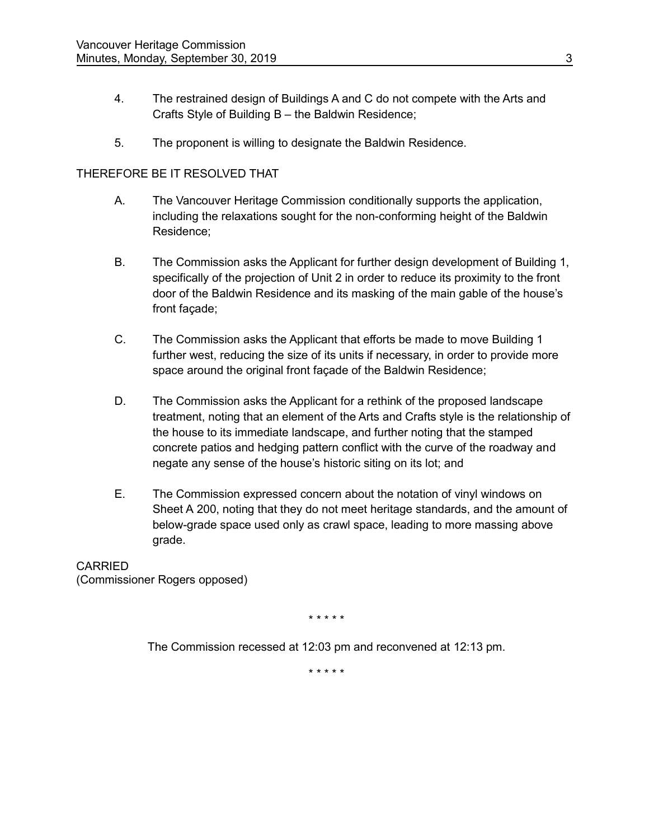- 4. The restrained design of Buildings A and C do not compete with the Arts and Crafts Style of Building B – the Baldwin Residence;
- 5. The proponent is willing to designate the Baldwin Residence.

# THEREFORE BE IT RESOLVED THAT

- A. The Vancouver Heritage Commission conditionally supports the application, including the relaxations sought for the non-conforming height of the Baldwin Residence;
- B. The Commission asks the Applicant for further design development of Building 1, specifically of the projection of Unit 2 in order to reduce its proximity to the front door of the Baldwin Residence and its masking of the main gable of the house's front façade;
- C. The Commission asks the Applicant that efforts be made to move Building 1 further west, reducing the size of its units if necessary, in order to provide more space around the original front façade of the Baldwin Residence;
- D. The Commission asks the Applicant for a rethink of the proposed landscape treatment, noting that an element of the Arts and Crafts style is the relationship of the house to its immediate landscape, and further noting that the stamped concrete patios and hedging pattern conflict with the curve of the roadway and negate any sense of the house's historic siting on its lot; and
- E. The Commission expressed concern about the notation of vinyl windows on Sheet A 200, noting that they do not meet heritage standards, and the amount of below-grade space used only as crawl space, leading to more massing above grade.

**CARRIED** (Commissioner Rogers opposed)

\* \* \* \* \*

The Commission recessed at 12:03 pm and reconvened at 12:13 pm.

\* \* \* \* \*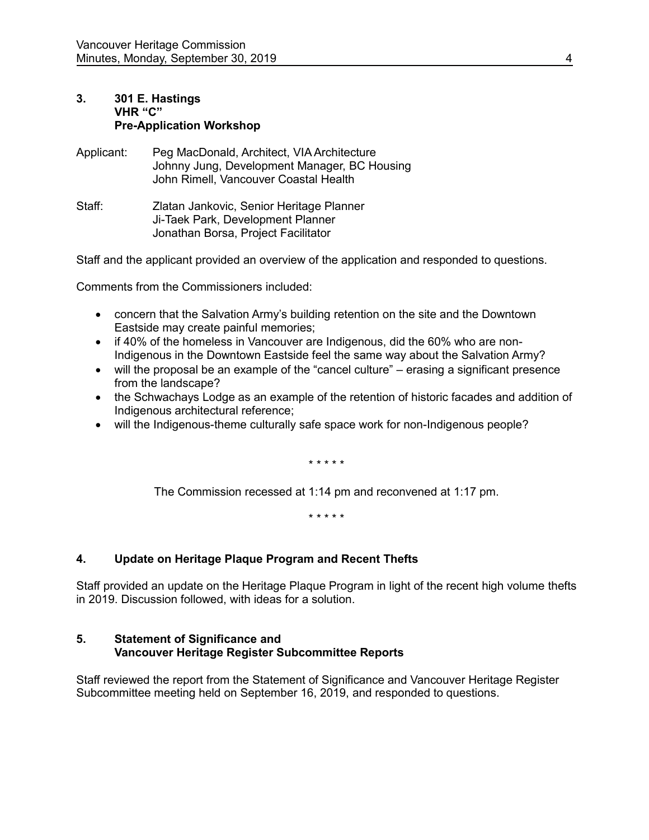# **3. 301 E. Hastings VHR "C" Pre-Application Workshop**

- Applicant: Peg MacDonald, Architect, VIA Architecture Johnny Jung, Development Manager, BC Housing John Rimell, Vancouver Coastal Health
- Staff: Zlatan Jankovic, Senior Heritage Planner Ji-Taek Park, Development Planner Jonathan Borsa, Project Facilitator

Staff and the applicant provided an overview of the application and responded to questions.

Comments from the Commissioners included:

- concern that the Salvation Army's building retention on the site and the Downtown Eastside may create painful memories;
- if 40% of the homeless in Vancouver are Indigenous, did the 60% who are non-Indigenous in the Downtown Eastside feel the same way about the Salvation Army?
- will the proposal be an example of the "cancel culture" erasing a significant presence from the landscape?
- the Schwachays Lodge as an example of the retention of historic facades and addition of Indigenous architectural reference;
- will the Indigenous-theme culturally safe space work for non-Indigenous people?

\* \* \* \* \*

The Commission recessed at 1:14 pm and reconvened at 1:17 pm.

\* \* \* \* \*

# **4. Update on Heritage Plaque Program and Recent Thefts**

Staff provided an update on the Heritage Plaque Program in light of the recent high volume thefts in 2019. Discussion followed, with ideas for a solution.

#### **5. Statement of Significance and Vancouver Heritage Register Subcommittee Reports**

Staff reviewed the report from the Statement of Significance and Vancouver Heritage Register Subcommittee meeting held on September 16, 2019, and responded to questions.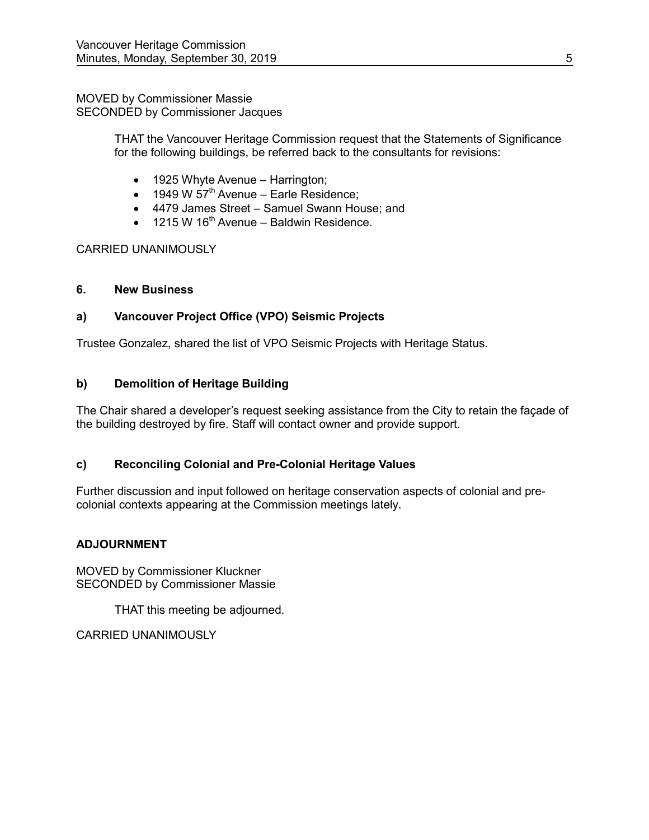#### MOVED by Commissioner Massie SECONDED by Commissioner Jacques

THAT the Vancouver Heritage Commission request that the Statements of Significance for the following buildings, be referred back to the consultants for revisions:

- 1925 Whyte Avenue Harrington;
- $\bullet$  1949 W 57<sup>th</sup> Avenue Earle Residence;
- 4479 James Street Samuel Swann House; and
- $\bullet$  1215 W 16<sup>th</sup> Avenue Baldwin Residence.

# CARRIED UNANIMOUSLY

# **6. New Business**

# **a) Vancouver Project Office (VPO) Seismic Projects**

Trustee Gonzalez, shared the list of VPO Seismic Projects with Heritage Status.

# **b) Demolition of Heritage Building**

The Chair shared a developer's request seeking assistance from the City to retain the façade of the building destroyed by fire. Staff will contact owner and provide support.

# **c) Reconciling Colonial and Pre-Colonial Heritage Values**

Further discussion and input followed on heritage conservation aspects of colonial and precolonial contexts appearing at the Commission meetings lately.

# **ADJOURNMENT**

MOVED by Commissioner Kluckner SECONDED by Commissioner Massie

THAT this meeting be adjourned.

CARRIED UNANIMOUSLY